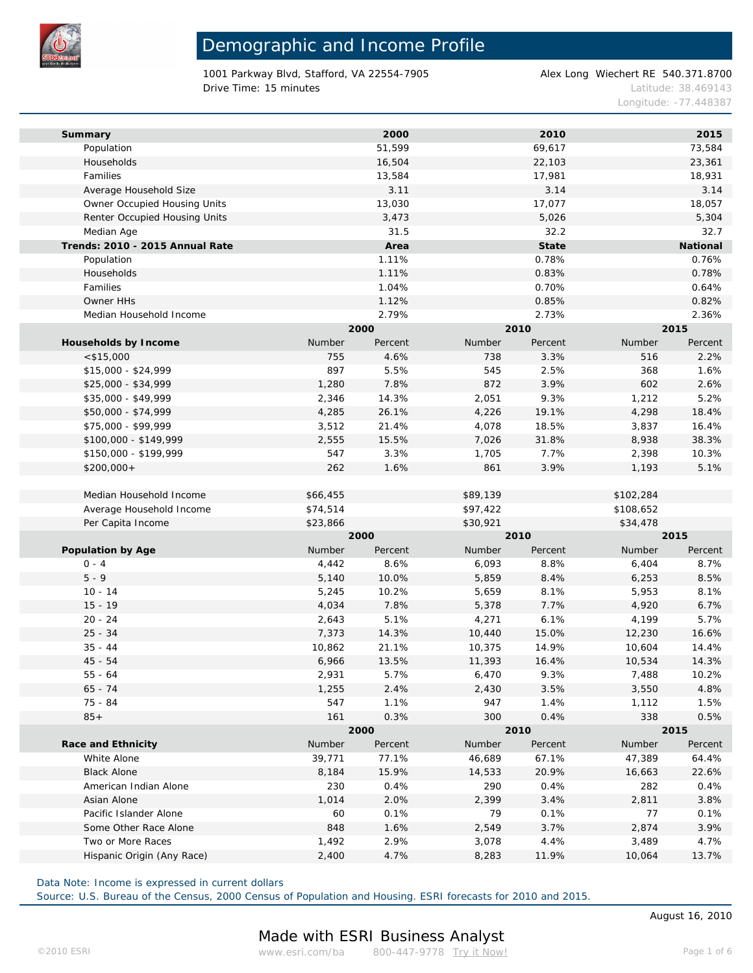

1001 Parkway Blvd, Stafford, VA 22554-7905 Alex Long Wiechert RE 540.371.8700 **Drive Time: 15 minutes Latitude: 38.469143** 

Longitude: -77.448387

| Summary                         |          | 2000    |          | 2010    |           | 2015     |  |
|---------------------------------|----------|---------|----------|---------|-----------|----------|--|
| Population                      |          | 51,599  |          | 69,617  |           | 73,584   |  |
| Households                      |          | 16,504  |          | 22,103  |           | 23,361   |  |
| Families                        |          | 13,584  |          | 17,981  |           | 18,931   |  |
| Average Household Size          |          | 3.11    |          | 3.14    |           | 3.14     |  |
| Owner Occupied Housing Units    |          | 13,030  |          | 17,077  |           | 18,057   |  |
| Renter Occupied Housing Units   |          | 3,473   |          | 5,026   |           | 5,304    |  |
| Median Age                      |          | 31.5    |          | 32.2    |           | 32.7     |  |
| Trends: 2010 - 2015 Annual Rate |          | Area    |          | State   |           | National |  |
| Population                      |          | 1.11%   |          | 0.78%   |           | 0.76%    |  |
| Households                      |          | 1.11%   |          | 0.83%   |           | 0.78%    |  |
| Families                        |          | 1.04%   |          | 0.70%   |           | 0.64%    |  |
| Owner HHs                       |          | 1.12%   |          | 0.85%   |           | 0.82%    |  |
| Median Household Income         |          | 2.79%   |          | 2.73%   |           | 2.36%    |  |
|                                 |          | 2000    | 2010     |         | 2015      |          |  |
| Households by Income            | Number   | Percent | Number   | Percent | Number    | Percent  |  |
| $<$ \$15,000                    | 755      | 4.6%    | 738      | 3.3%    | 516       | 2.2%     |  |
| $$15,000 - $24,999$             | 897      | 5.5%    | 545      | 2.5%    | 368       | 1.6%     |  |
| \$25,000 - \$34,999             | 1,280    | 7.8%    | 872      | 3.9%    | 602       | 2.6%     |  |
| \$35,000 - \$49,999             | 2,346    | 14.3%   | 2,051    | 9.3%    | 1,212     | 5.2%     |  |
| \$50,000 - \$74,999             | 4,285    | 26.1%   | 4,226    | 19.1%   | 4,298     | 18.4%    |  |
| \$75,000 - \$99,999             | 3,512    | 21.4%   | 4,078    | 18.5%   | 3,837     | 16.4%    |  |
| \$100,000 - \$149,999           | 2,555    | 15.5%   | 7,026    | 31.8%   | 8,938     | 38.3%    |  |
| \$150,000 - \$199,999           | 547      | 3.3%    | 1,705    | 7.7%    | 2,398     | 10.3%    |  |
|                                 |          |         |          |         |           |          |  |
| $$200,000+$                     | 262      | 1.6%    | 861      | 3.9%    | 1,193     | 5.1%     |  |
|                                 |          |         |          |         |           |          |  |
| Median Household Income         | \$66,455 |         | \$89,139 |         | \$102,284 |          |  |
| Average Household Income        | \$74,514 |         | \$97,422 |         | \$108,652 |          |  |
| Per Capita Income               | \$23,866 |         | \$30,921 |         | \$34,478  |          |  |
|                                 |          | 2000    |          | 2010    |           | 2015     |  |
| Population by Age               | Number   | Percent | Number   | Percent | Number    | Percent  |  |
| $0 - 4$                         | 4,442    | 8.6%    | 6,093    | 8.8%    | 6,404     | 8.7%     |  |
| $5 - 9$                         | 5,140    | 10.0%   | 5,859    | 8.4%    | 6,253     | 8.5%     |  |
| $10 - 14$                       | 5,245    | 10.2%   | 5,659    | 8.1%    | 5,953     | 8.1%     |  |
| $15 - 19$                       | 4,034    | 7.8%    | 5,378    | 7.7%    | 4,920     | 6.7%     |  |
| $20 - 24$                       | 2,643    | 5.1%    | 4,271    | 6.1%    | 4,199     | 5.7%     |  |
| $25 - 34$                       | 7,373    | 14.3%   | 10,440   | 15.0%   | 12,230    | 16.6%    |  |
| $35 - 44$                       | 10,862   | 21.1%   | 10,375   | 14.9%   | 10,604    | 14.4%    |  |
| $45 - 54$                       | 6,966    | 13.5%   | 11,393   | 16.4%   | 10,534    | 14.3%    |  |
| $55 - 64$                       | 2,931    | 5.7%    | 6,470    | 9.3%    | 7,488     | 10.2%    |  |
| $65 - 74$                       | 1,255    | 2.4%    | 2,430    | 3.5%    | 3,550     | 4.8%     |  |
| 75 - 84                         | 547      | 1.1%    | 947      | 1.4%    | 1,112     | 1.5%     |  |
| $85+$                           | 161      | 0.3%    | 300      | 0.4%    | 338       | 0.5%     |  |
|                                 |          | 2000    |          | 2010    |           | 2015     |  |
| Race and Ethnicity              | Number   | Percent | Number   | Percent | Number    | Percent  |  |
| White Alone                     | 39,771   | 77.1%   | 46,689   | 67.1%   | 47,389    | 64.4%    |  |
| <b>Black Alone</b>              | 8,184    | 15.9%   | 14,533   | 20.9%   | 16,663    | 22.6%    |  |
| American Indian Alone           | 230      | 0.4%    | 290      | 0.4%    | 282       | 0.4%     |  |
| Asian Alone                     | 1,014    | 2.0%    | 2,399    | 3.4%    | 2,811     | 3.8%     |  |
| Pacific Islander Alone          | 60       | 0.1%    | 79       | 0.1%    | 77        | 0.1%     |  |
| Some Other Race Alone           | 848      | 1.6%    | 2,549    | 3.7%    | 2,874     | 3.9%     |  |
| Two or More Races               | 1,492    | 2.9%    | 3,078    | 4.4%    | 3,489     | 4.7%     |  |
| Hispanic Origin (Any Race)      | 2,400    | 4.7%    | 8,283    | 11.9%   | 10,064    | 13.7%    |  |
|                                 |          |         |          |         |           |          |  |

Data Note: Income is expressed in current dollars

Source: U.S. Bureau of the Census, 2000 Census of Population and Housing. ESRI forecasts for 2010 and 2015.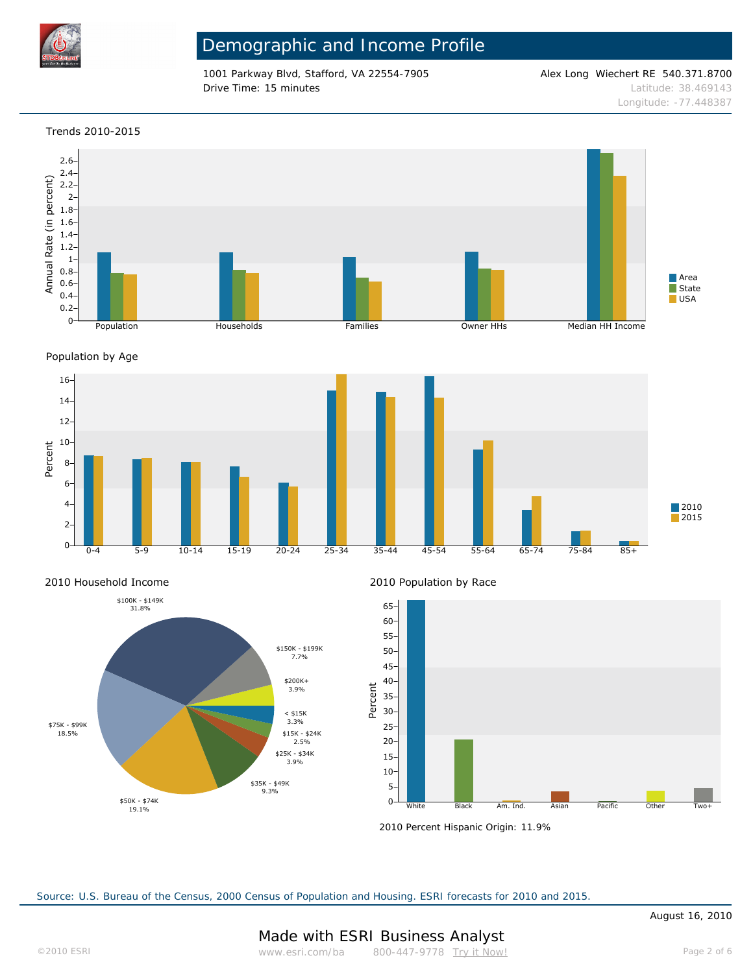

1001 Parkway Blvd, Stafford, VA 22554-7905 Alex Long Wiechert RE 540.371.8700 **Drive Time: 15 minutes Latitude: 38.469143** 

Longitude: -77.448387

### Trends 2010-2015



Population by Age







2010 Population by Race



2010 Percent Hispanic Origin: 11.9%

Source: U.S. Bureau of the Census, 2000 Census of Population and Housing. ESRI forecasts for 2010 and 2015.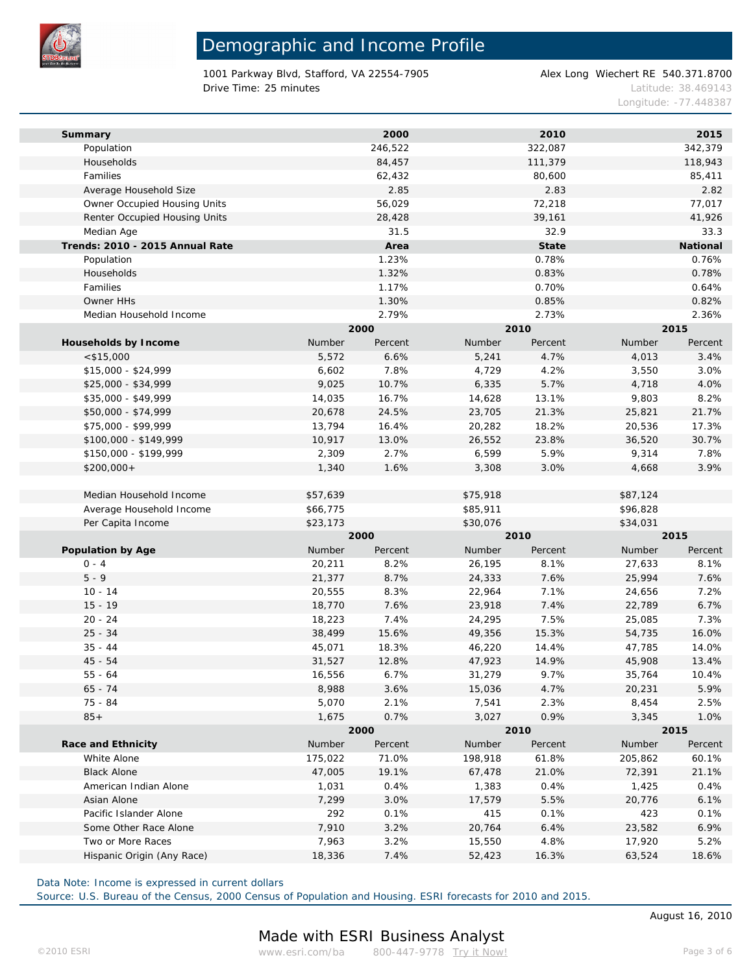

1001 Parkway Blvd, Stafford, VA 22554-7905 Alex Long Wiechert RE 540.371.8700 **Drive Time: 25 minutes Latitude: 38.469143** 

Longitude: -77.448387

| Summary                         |          | 2000    |          | 2010    |          | 2015     |  |
|---------------------------------|----------|---------|----------|---------|----------|----------|--|
| Population                      |          | 246,522 |          | 322,087 |          | 342,379  |  |
| Households                      |          | 84,457  |          | 111,379 |          | 118,943  |  |
| Families                        |          | 62,432  |          | 80,600  |          | 85,411   |  |
| Average Household Size          |          | 2.85    |          | 2.83    |          | 2.82     |  |
| Owner Occupied Housing Units    |          | 56,029  |          | 72,218  |          | 77,017   |  |
| Renter Occupied Housing Units   |          | 28,428  |          | 39,161  |          | 41,926   |  |
| Median Age                      |          | 31.5    |          | 32.9    |          | 33.3     |  |
| Trends: 2010 - 2015 Annual Rate |          | Area    |          | State   |          | National |  |
| Population                      |          | 1.23%   |          | 0.78%   |          | 0.76%    |  |
| Households                      |          | 1.32%   |          | 0.83%   |          | 0.78%    |  |
| Families                        |          | 1.17%   |          | 0.70%   |          | 0.64%    |  |
| Owner HHs                       |          | 1.30%   |          | 0.85%   |          | 0.82%    |  |
| Median Household Income         |          | 2.79%   |          | 2.73%   |          | 2.36%    |  |
|                                 |          | 2000    | 2010     |         | 2015     |          |  |
| Households by Income            | Number   | Percent | Number   | Percent | Number   | Percent  |  |
| $<$ \$15,000                    | 5,572    | 6.6%    | 5,241    | 4.7%    | 4,013    | 3.4%     |  |
| \$15,000 - \$24,999             | 6,602    | 7.8%    | 4,729    | 4.2%    | 3,550    | 3.0%     |  |
| \$25,000 - \$34,999             | 9,025    | 10.7%   | 6,335    | 5.7%    | 4,718    | 4.0%     |  |
| \$35,000 - \$49,999             | 14,035   | 16.7%   | 14,628   | 13.1%   | 9,803    | 8.2%     |  |
| \$50,000 - \$74,999             | 20,678   | 24.5%   | 23,705   | 21.3%   | 25,821   | 21.7%    |  |
| \$75,000 - \$99,999             | 13,794   | 16.4%   | 20,282   | 18.2%   | 20,536   | 17.3%    |  |
| \$100,000 - \$149,999           | 10,917   | 13.0%   | 26,552   | 23.8%   | 36,520   | 30.7%    |  |
| \$150,000 - \$199,999           | 2,309    | 2.7%    | 6,599    | 5.9%    | 9,314    | 7.8%     |  |
| $$200,000+$                     | 1,340    | 1.6%    | 3,308    | 3.0%    | 4,668    | 3.9%     |  |
|                                 |          |         |          |         |          |          |  |
| Median Household Income         | \$57,639 |         | \$75,918 |         | \$87,124 |          |  |
| Average Household Income        | \$66,775 |         | \$85,911 |         | \$96,828 |          |  |
| Per Capita Income               | \$23,173 |         | \$30,076 |         | \$34,031 |          |  |
|                                 |          | 2000    |          | 2010    |          | 2015     |  |
| Population by Age               | Number   | Percent | Number   | Percent | Number   | Percent  |  |
| $0 - 4$                         | 20,211   | 8.2%    | 26,195   | 8.1%    | 27,633   | 8.1%     |  |
| $5 - 9$                         | 21,377   | 8.7%    | 24,333   | 7.6%    | 25,994   | 7.6%     |  |
| $10 - 14$                       | 20,555   | 8.3%    | 22,964   | 7.1%    | 24,656   | 7.2%     |  |
| $15 - 19$                       | 18,770   | 7.6%    | 23,918   | 7.4%    | 22,789   | 6.7%     |  |
| $20 - 24$                       | 18,223   | 7.4%    | 24,295   | 7.5%    | 25,085   | 7.3%     |  |
| $25 - 34$                       | 38,499   | 15.6%   | 49,356   | 15.3%   | 54,735   | 16.0%    |  |
| $35 - 44$                       | 45,071   | 18.3%   | 46,220   | 14.4%   | 47,785   | 14.0%    |  |
| $45 - 54$                       | 31,527   | 12.8%   | 47,923   | 14.9%   | 45,908   | 13.4%    |  |
| $55 - 64$                       | 16,556   | 6.7%    | 31,279   | 9.7%    | 35,764   | 10.4%    |  |
| $65 - 74$                       | 8,988    | 3.6%    | 15,036   | 4.7%    | 20,231   | 5.9%     |  |
| 75 - 84                         | 5,070    | 2.1%    | 7,541    | 2.3%    | 8,454    | 2.5%     |  |
| $85+$                           | 1,675    | 0.7%    | 3,027    | 0.9%    | 3,345    | 1.0%     |  |
|                                 |          | 2000    |          | 2010    |          | 2015     |  |
| Race and Ethnicity              | Number   | Percent | Number   | Percent | Number   | Percent  |  |
| White Alone                     | 175,022  | 71.0%   | 198,918  | 61.8%   | 205,862  | 60.1%    |  |
| <b>Black Alone</b>              | 47,005   | 19.1%   | 67,478   | 21.0%   | 72,391   | 21.1%    |  |
| American Indian Alone           | 1,031    | 0.4%    | 1,383    | 0.4%    | 1,425    | 0.4%     |  |
| Asian Alone                     | 7,299    | 3.0%    | 17,579   | 5.5%    | 20,776   | 6.1%     |  |
| Pacific Islander Alone          | 292      | 0.1%    | 415      | 0.1%    | 423      | 0.1%     |  |
| Some Other Race Alone           | 7,910    | 3.2%    | 20,764   | 6.4%    | 23,582   | 6.9%     |  |
| Two or More Races               | 7,963    | 3.2%    | 15,550   | 4.8%    | 17,920   | 5.2%     |  |
| Hispanic Origin (Any Race)      | 18,336   | 7.4%    | 52,423   | 16.3%   | 63,524   | 18.6%    |  |
|                                 |          |         |          |         |          |          |  |

Data Note: Income is expressed in current dollars

Source: U.S. Bureau of the Census, 2000 Census of Population and Housing. ESRI forecasts for 2010 and 2015.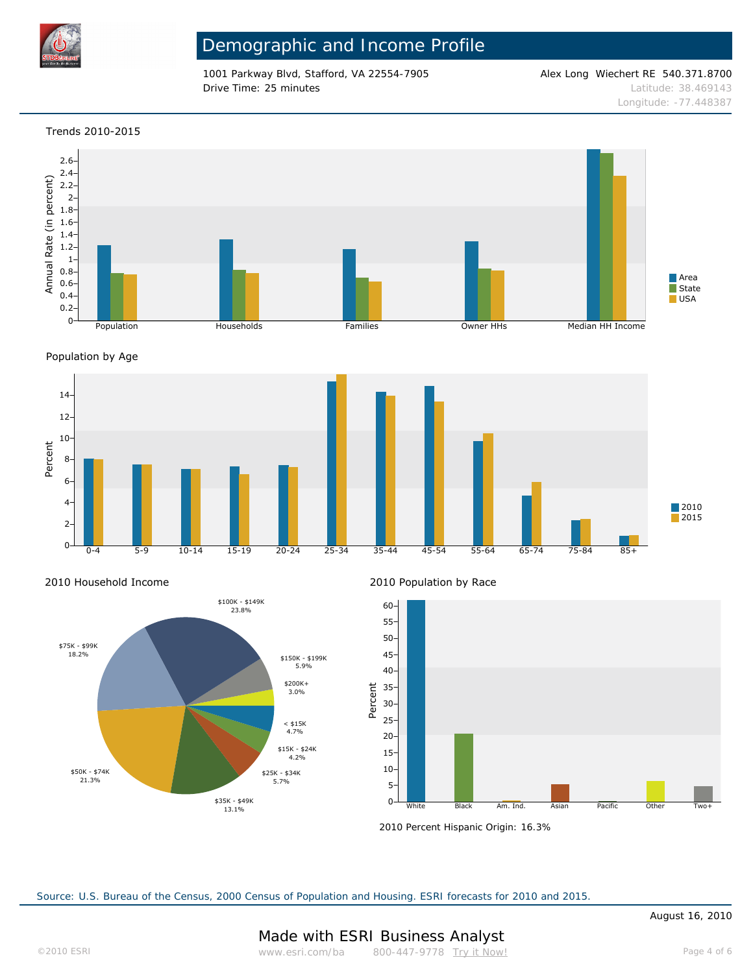

1001 Parkway Blvd, Stafford, VA 22554-7905 Alex Long Wiechert RE 540.371.8700 **Drive Time: 25 minutes Latitude: 38.469143** 

Longitude: -77.448387

### Trends 2010-2015



Population by Age



2010 Household Income



2010 Population by Race



2010 Percent Hispanic Origin: 16.3%

Source: U.S. Bureau of the Census, 2000 Census of Population and Housing. ESRI forecasts for 2010 and 2015.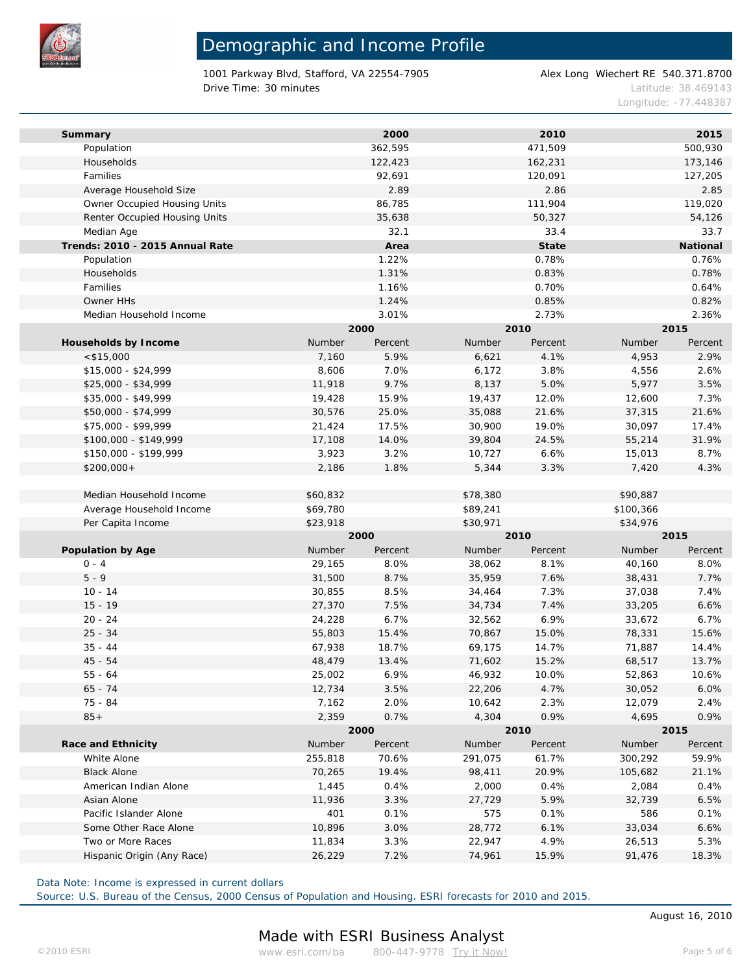

1001 Parkway Blvd, Stafford, VA 22554-7905 Alex Long Wiechert RE 540.371.8700 Drive Time: 30 minutes Latitude: 38.469143

Longitude: -77.448387

| Summary                         |          | 2000    |          | 2010    |           | 2015     |  |
|---------------------------------|----------|---------|----------|---------|-----------|----------|--|
| Population                      |          | 362,595 |          | 471,509 |           | 500,930  |  |
| Households                      |          | 122,423 |          | 162,231 |           | 173,146  |  |
| Families                        |          | 92,691  |          | 120,091 |           | 127,205  |  |
| Average Household Size          |          | 2.89    |          | 2.86    |           | 2.85     |  |
| Owner Occupied Housing Units    |          | 86,785  |          | 111,904 |           | 119,020  |  |
| Renter Occupied Housing Units   |          | 35,638  |          | 50,327  |           | 54,126   |  |
| Median Age                      |          | 32.1    |          | 33.4    |           | 33.7     |  |
| Trends: 2010 - 2015 Annual Rate |          | Area    |          | State   |           | National |  |
| Population                      |          | 1.22%   |          | 0.78%   |           | 0.76%    |  |
| Households                      |          | 1.31%   |          | 0.83%   |           | 0.78%    |  |
| Families                        |          | 1.16%   |          | 0.70%   |           | 0.64%    |  |
| Owner HHs                       |          | 1.24%   |          | 0.85%   |           | 0.82%    |  |
| Median Household Income         |          | 3.01%   |          | 2.73%   |           | 2.36%    |  |
|                                 |          | 2000    | 2010     |         | 2015      |          |  |
| Households by Income            | Number   | Percent | Number   | Percent | Number    | Percent  |  |
| $<$ \$15,000                    | 7,160    | 5.9%    | 6,621    | 4.1%    | 4,953     | 2.9%     |  |
| $$15,000 - $24,999$             | 8,606    | 7.0%    | 6,172    | 3.8%    | 4,556     | 2.6%     |  |
| \$25,000 - \$34,999             | 11,918   | 9.7%    | 8,137    | 5.0%    | 5,977     | 3.5%     |  |
| \$35,000 - \$49,999             | 19,428   | 15.9%   | 19,437   | 12.0%   | 12,600    | 7.3%     |  |
| \$50,000 - \$74,999             | 30,576   | 25.0%   | 35,088   | 21.6%   | 37,315    | 21.6%    |  |
| \$75,000 - \$99,999             | 21,424   | 17.5%   | 30,900   | 19.0%   | 30,097    | 17.4%    |  |
| \$100,000 - \$149,999           | 17,108   | 14.0%   | 39,804   | 24.5%   | 55,214    | 31.9%    |  |
| \$150,000 - \$199,999           | 3,923    | 3.2%    | 10,727   | 6.6%    | 15,013    | 8.7%     |  |
| $$200,000+$                     | 2,186    | 1.8%    | 5,344    | 3.3%    | 7,420     | 4.3%     |  |
|                                 |          |         |          |         |           |          |  |
| Median Household Income         | \$60,832 |         | \$78,380 |         | \$90,887  |          |  |
| Average Household Income        | \$69,780 |         | \$89,241 |         | \$100,366 |          |  |
| Per Capita Income               | \$23,918 |         | \$30,971 |         | \$34,976  |          |  |
|                                 |          | 2000    |          | 2010    |           | 2015     |  |
| Population by Age               | Number   | Percent | Number   | Percent | Number    | Percent  |  |
| $0 - 4$                         | 29,165   | 8.0%    | 38,062   | 8.1%    | 40,160    | 8.0%     |  |
| $5 - 9$                         | 31,500   | 8.7%    | 35,959   | 7.6%    | 38,431    | 7.7%     |  |
| $10 - 14$                       | 30,855   | 8.5%    | 34,464   | 7.3%    | 37,038    | 7.4%     |  |
| $15 - 19$                       | 27,370   | 7.5%    | 34,734   | 7.4%    | 33,205    | 6.6%     |  |
| $20 - 24$                       | 24,228   | 6.7%    | 32,562   | 6.9%    | 33,672    | 6.7%     |  |
| $25 - 34$                       | 55,803   | 15.4%   | 70,867   | 15.0%   | 78,331    | 15.6%    |  |
| $35 - 44$                       | 67,938   | 18.7%   | 69,175   | 14.7%   | 71,887    | 14.4%    |  |
| $45 - 54$                       | 48,479   | 13.4%   | 71,602   | 15.2%   | 68,517    | 13.7%    |  |
| $55 - 64$                       | 25,002   | 6.9%    | 46,932   | 10.0%   | 52,863    | 10.6%    |  |
| $65 - 74$                       | 12,734   | 3.5%    | 22,206   | 4.7%    | 30,052    | 6.0%     |  |
| 75 - 84                         | 7,162    | 2.0%    | 10,642   | 2.3%    | 12,079    | 2.4%     |  |
| $85+$                           | 2,359    | 0.7%    | 4,304    | 0.9%    | 4,695     | 0.9%     |  |
|                                 | 2000     |         | 2010     |         |           | 2015     |  |
| Race and Ethnicity              | Number   | Percent | Number   | Percent | Number    | Percent  |  |
| White Alone                     | 255,818  | 70.6%   | 291,075  | 61.7%   | 300,292   | 59.9%    |  |
| <b>Black Alone</b>              | 70,265   | 19.4%   | 98,411   | 20.9%   | 105,682   | 21.1%    |  |
| American Indian Alone           | 1,445    | 0.4%    | 2,000    | 0.4%    | 2,084     | 0.4%     |  |
| Asian Alone                     | 11,936   | 3.3%    | 27,729   | 5.9%    | 32,739    | 6.5%     |  |
| Pacific Islander Alone          | 401      | 0.1%    | 575      | 0.1%    | 586       | 0.1%     |  |
| Some Other Race Alone           | 10,896   | 3.0%    | 28,772   | 6.1%    | 33,034    | 6.6%     |  |
| Two or More Races               | 11,834   | 3.3%    | 22,947   | 4.9%    | 26,513    | 5.3%     |  |
| Hispanic Origin (Any Race)      | 26,229   | 7.2%    | 74,961   | 15.9%   | 91,476    | 18.3%    |  |
|                                 |          |         |          |         |           |          |  |

Data Note: Income is expressed in current dollars

Source: U.S. Bureau of the Census, 2000 Census of Population and Housing. ESRI forecasts for 2010 and 2015.